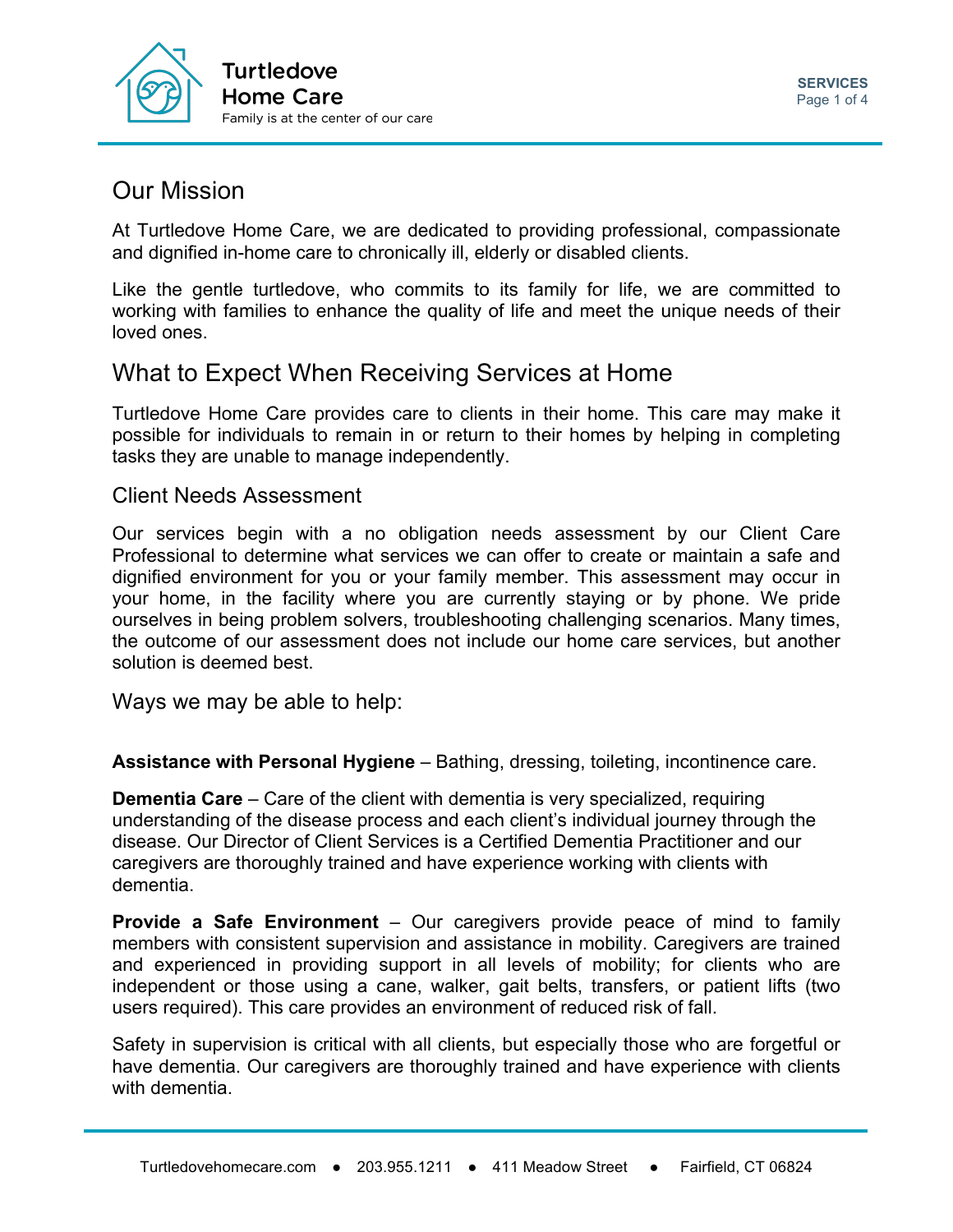

## Our Mission

At Turtledove Home Care, we are dedicated to providing professional, compassionate and dignified in-home care to chronically ill, elderly or disabled clients.

Like the gentle turtledove, who commits to its family for life, we are committed to working with families to enhance the quality of life and meet the unique needs of their loved ones.

# What to Expect When Receiving Services at Home

Turtledove Home Care provides care to clients in their home. This care may make it possible for individuals to remain in or return to their homes by helping in completing tasks they are unable to manage independently.

## Client Needs Assessment

Our services begin with a no obligation needs assessment by our Client Care Professional to determine what services we can offer to create or maintain a safe and dignified environment for you or your family member. This assessment may occur in your home, in the facility where you are currently staying or by phone. We pride ourselves in being problem solvers, troubleshooting challenging scenarios. Many times, the outcome of our assessment does not include our home care services, but another solution is deemed best.

Ways we may be able to help:

**Assistance with Personal Hygiene** – Bathing, dressing, toileting, incontinence care.

**Dementia Care** – Care of the client with dementia is very specialized, requiring understanding of the disease process and each client's individual journey through the disease. Our Director of Client Services is a Certified Dementia Practitioner and our caregivers are thoroughly trained and have experience working with clients with dementia.

**Provide a Safe Environment** – Our caregivers provide peace of mind to family members with consistent supervision and assistance in mobility. Caregivers are trained and experienced in providing support in all levels of mobility; for clients who are independent or those using a cane, walker, gait belts, transfers, or patient lifts (two users required). This care provides an environment of reduced risk of fall.

Safety in supervision is critical with all clients, but especially those who are forgetful or have dementia. Our caregivers are thoroughly trained and have experience with clients with dementia.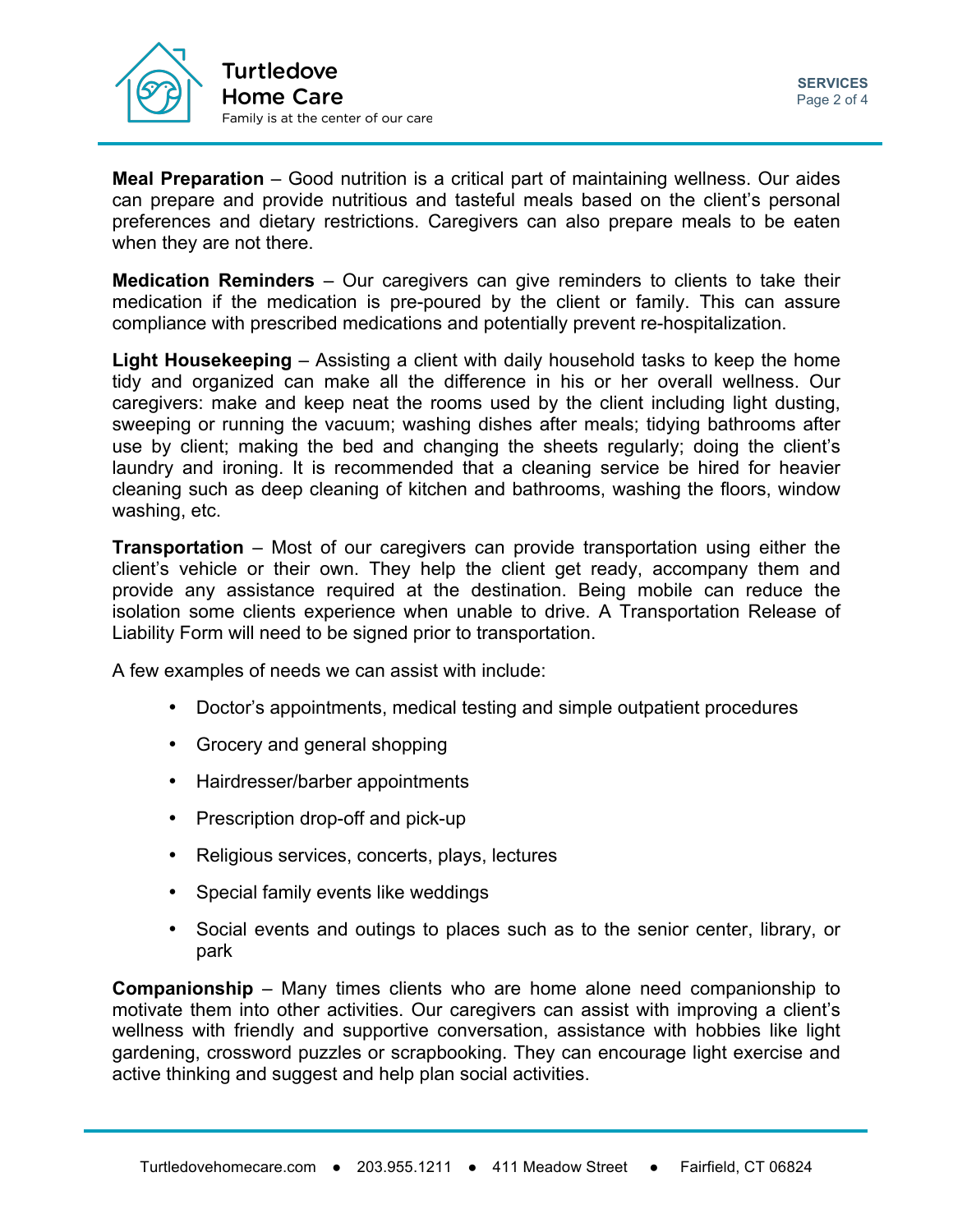

**Meal Preparation** – Good nutrition is a critical part of maintaining wellness. Our aides can prepare and provide nutritious and tasteful meals based on the client's personal preferences and dietary restrictions. Caregivers can also prepare meals to be eaten when they are not there.

**Medication Reminders** – Our caregivers can give reminders to clients to take their medication if the medication is pre-poured by the client or family. This can assure compliance with prescribed medications and potentially prevent re-hospitalization.

**Light Housekeeping** – Assisting a client with daily household tasks to keep the home tidy and organized can make all the difference in his or her overall wellness. Our caregivers: make and keep neat the rooms used by the client including light dusting, sweeping or running the vacuum; washing dishes after meals; tidying bathrooms after use by client; making the bed and changing the sheets regularly; doing the client's laundry and ironing. It is recommended that a cleaning service be hired for heavier cleaning such as deep cleaning of kitchen and bathrooms, washing the floors, window washing, etc.

**Transportation** – Most of our caregivers can provide transportation using either the client's vehicle or their own. They help the client get ready, accompany them and provide any assistance required at the destination. Being mobile can reduce the isolation some clients experience when unable to drive. A Transportation Release of Liability Form will need to be signed prior to transportation.

A few examples of needs we can assist with include:

- Doctor's appointments, medical testing and simple outpatient procedures
- Grocery and general shopping
- Hairdresser/barber appointments
- Prescription drop-off and pick-up
- Religious services, concerts, plays, lectures
- Special family events like weddings
- Social events and outings to places such as to the senior center, library, or park

**Companionship** – Many times clients who are home alone need companionship to motivate them into other activities. Our caregivers can assist with improving a client's wellness with friendly and supportive conversation, assistance with hobbies like light gardening, crossword puzzles or scrapbooking. They can encourage light exercise and active thinking and suggest and help plan social activities.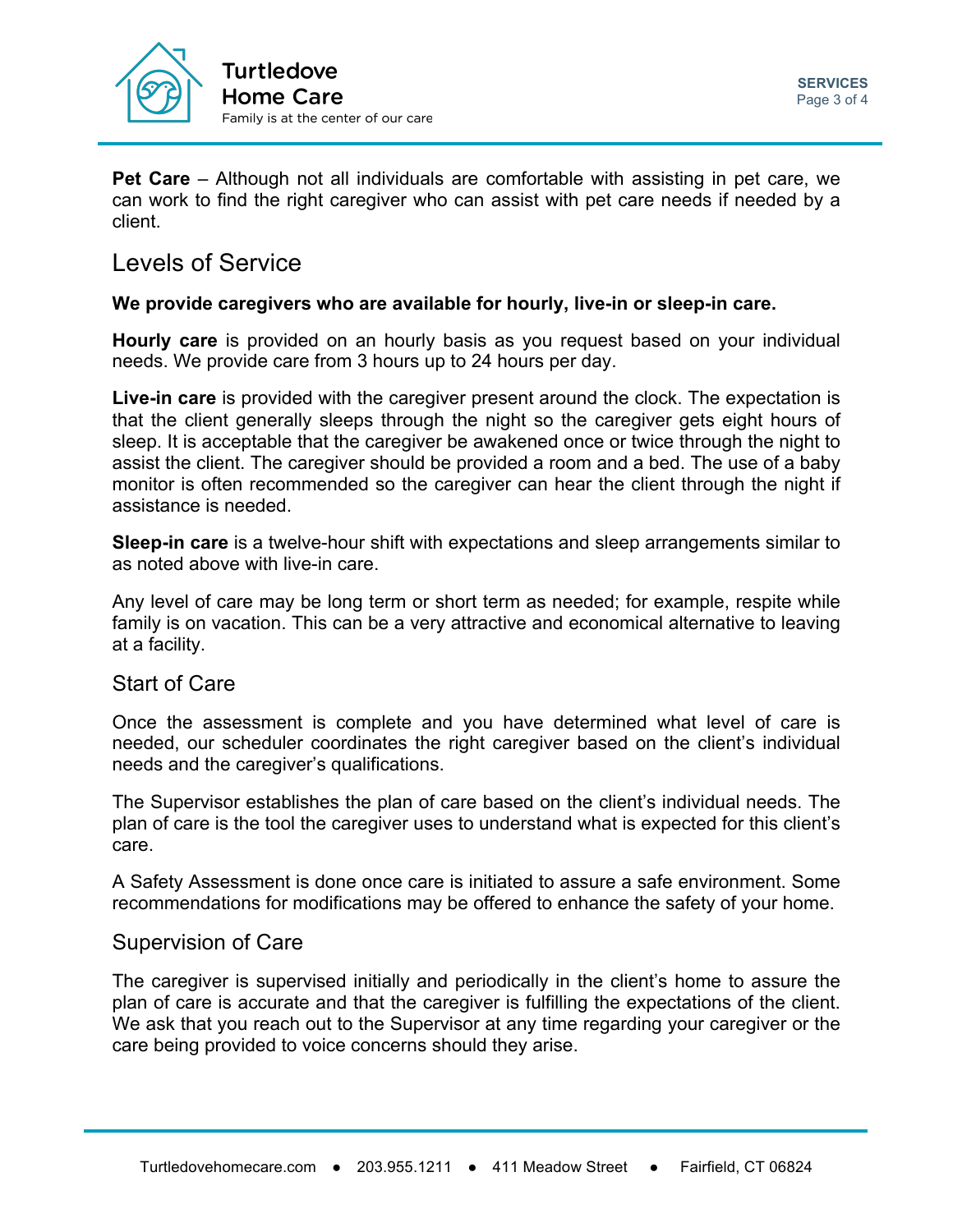

**Pet Care** – Although not all individuals are comfortable with assisting in pet care, we can work to find the right caregiver who can assist with pet care needs if needed by a client.

## Levels of Service

### **We provide caregivers who are available for hourly, live-in or sleep-in care.**

**Hourly care** is provided on an hourly basis as you request based on your individual needs. We provide care from 3 hours up to 24 hours per day.

**Live-in care** is provided with the caregiver present around the clock. The expectation is that the client generally sleeps through the night so the caregiver gets eight hours of sleep. It is acceptable that the caregiver be awakened once or twice through the night to assist the client. The caregiver should be provided a room and a bed. The use of a baby monitor is often recommended so the caregiver can hear the client through the night if assistance is needed.

**Sleep-in care** is a twelve-hour shift with expectations and sleep arrangements similar to as noted above with live-in care.

Any level of care may be long term or short term as needed; for example, respite while family is on vacation. This can be a very attractive and economical alternative to leaving at a facility.

## Start of Care

Once the assessment is complete and you have determined what level of care is needed, our scheduler coordinates the right caregiver based on the client's individual needs and the caregiver's qualifications.

The Supervisor establishes the plan of care based on the client's individual needs. The plan of care is the tool the caregiver uses to understand what is expected for this client's care.

A Safety Assessment is done once care is initiated to assure a safe environment. Some recommendations for modifications may be offered to enhance the safety of your home.

## Supervision of Care

The caregiver is supervised initially and periodically in the client's home to assure the plan of care is accurate and that the caregiver is fulfilling the expectations of the client. We ask that you reach out to the Supervisor at any time regarding your caregiver or the care being provided to voice concerns should they arise.